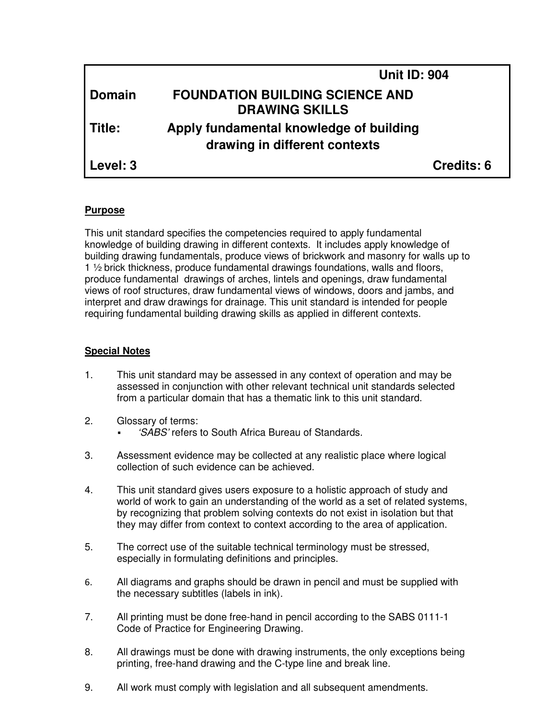|               | <b>Unit ID: 904</b>                                                      |            |
|---------------|--------------------------------------------------------------------------|------------|
| <b>Domain</b> | <b>FOUNDATION BUILDING SCIENCE AND</b><br><b>DRAWING SKILLS</b>          |            |
| Title:        | Apply fundamental knowledge of building<br>drawing in different contexts |            |
| Level: 3      |                                                                          | Credits: 6 |

# **Purpose**

This unit standard specifies the competencies required to apply fundamental knowledge of building drawing in different contexts. It includes apply knowledge of building drawing fundamentals, produce views of brickwork and masonry for walls up to 1 ½ brick thickness, produce fundamental drawings foundations, walls and floors, produce fundamental drawings of arches, lintels and openings, draw fundamental views of roof structures, draw fundamental views of windows, doors and jambs, and interpret and draw drawings for drainage. This unit standard is intended for people requiring fundamental building drawing skills as applied in different contexts.

### **Special Notes**

- 1. This unit standard may be assessed in any context of operation and may be assessed in conjunction with other relevant technical unit standards selected from a particular domain that has a thematic link to this unit standard.
- 2. Glossary of terms:
	- 'SABS' refers to South Africa Bureau of Standards.
- 3. Assessment evidence may be collected at any realistic place where logical collection of such evidence can be achieved.
- 4. This unit standard gives users exposure to a holistic approach of study and world of work to gain an understanding of the world as a set of related systems, by recognizing that problem solving contexts do not exist in isolation but that they may differ from context to context according to the area of application.
- 5. The correct use of the suitable technical terminology must be stressed, especially in formulating definitions and principles.
- 6. All diagrams and graphs should be drawn in pencil and must be supplied with the necessary subtitles (labels in ink).
- 7. All printing must be done free-hand in pencil according to the SABS 0111-1 Code of Practice for Engineering Drawing.
- 8. All drawings must be done with drawing instruments, the only exceptions being printing, free-hand drawing and the C-type line and break line.
- 9. All work must comply with legislation and all subsequent amendments.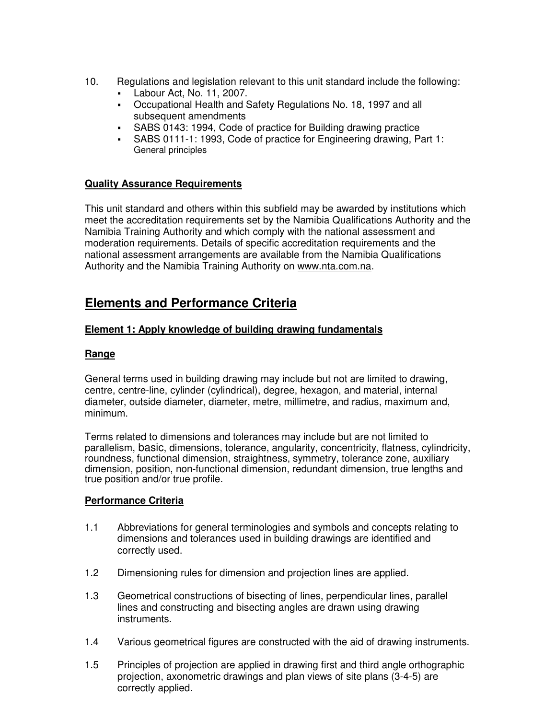- 10. Regulations and legislation relevant to this unit standard include the following:
	- Labour Act, No. 11, 2007.
	- Occupational Health and Safety Regulations No. 18, 1997 and all subsequent amendments
	- SABS 0143: 1994, Code of practice for Building drawing practice
	- SABS 0111-1: 1993, Code of practice for Engineering drawing, Part 1: General principles

# **Quality Assurance Requirements**

This unit standard and others within this subfield may be awarded by institutions which meet the accreditation requirements set by the Namibia Qualifications Authority and the Namibia Training Authority and which comply with the national assessment and moderation requirements. Details of specific accreditation requirements and the national assessment arrangements are available from the Namibia Qualifications Authority and the Namibia Training Authority on www.nta.com.na.

# **Elements and Performance Criteria**

# **Element 1: Apply knowledge of building drawing fundamentals**

# **Range**

General terms used in building drawing may include but not are limited to drawing, centre, centre-line, cylinder (cylindrical), degree, hexagon, and material, internal diameter, outside diameter, diameter, metre, millimetre, and radius, maximum and, minimum.

Terms related to dimensions and tolerances may include but are not limited to parallelism, basic, dimensions, tolerance, angularity, concentricity, flatness, cylindricity, roundness, functional dimension, straightness, symmetry, tolerance zone, auxiliary dimension, position, non-functional dimension, redundant dimension, true lengths and true position and/or true profile.

### **Performance Criteria**

- 1.1 Abbreviations for general terminologies and symbols and concepts relating to dimensions and tolerances used in building drawings are identified and correctly used.
- 1.2 Dimensioning rules for dimension and projection lines are applied.
- 1.3 Geometrical constructions of bisecting of lines, perpendicular lines, parallel lines and constructing and bisecting angles are drawn using drawing instruments.
- 1.4 Various geometrical figures are constructed with the aid of drawing instruments.
- 1.5 Principles of projection are applied in drawing first and third angle orthographic projection, axonometric drawings and plan views of site plans (3-4-5) are correctly applied.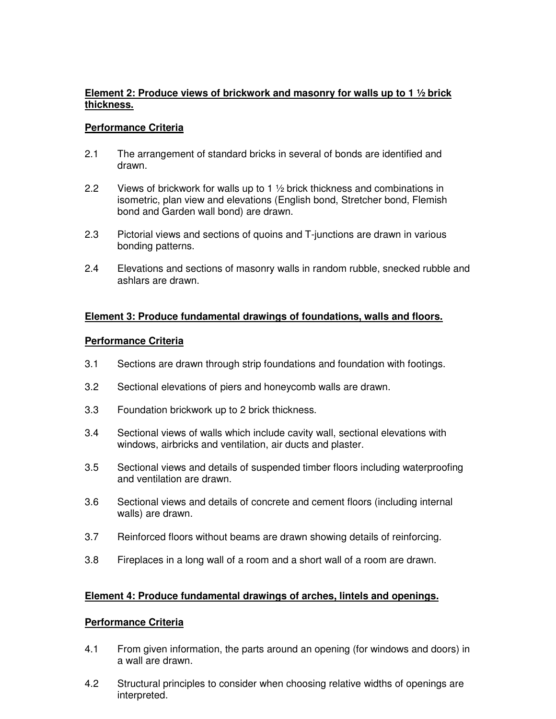# **Element 2: Produce views of brickwork and masonry for walls up to 1 ½ brick thickness.**

### **Performance Criteria**

- 2.1 The arrangement of standard bricks in several of bonds are identified and drawn.
- 2.2 Views of brickwork for walls up to 1 ½ brick thickness and combinations in isometric, plan view and elevations (English bond, Stretcher bond, Flemish bond and Garden wall bond) are drawn.
- 2.3 Pictorial views and sections of quoins and T-junctions are drawn in various bonding patterns.
- 2.4 Elevations and sections of masonry walls in random rubble, snecked rubble and ashlars are drawn.

### **Element 3: Produce fundamental drawings of foundations, walls and floors.**

#### **Performance Criteria**

- 3.1 Sections are drawn through strip foundations and foundation with footings.
- 3.2 Sectional elevations of piers and honeycomb walls are drawn.
- 3.3 Foundation brickwork up to 2 brick thickness.
- 3.4 Sectional views of walls which include cavity wall, sectional elevations with windows, airbricks and ventilation, air ducts and plaster.
- 3.5 Sectional views and details of suspended timber floors including waterproofing and ventilation are drawn.
- 3.6 Sectional views and details of concrete and cement floors (including internal walls) are drawn.
- 3.7 Reinforced floors without beams are drawn showing details of reinforcing.
- 3.8 Fireplaces in a long wall of a room and a short wall of a room are drawn.

#### **Element 4: Produce fundamental drawings of arches, lintels and openings.**

#### **Performance Criteria**

- 4.1 From given information, the parts around an opening (for windows and doors) in a wall are drawn.
- 4.2 Structural principles to consider when choosing relative widths of openings are interpreted.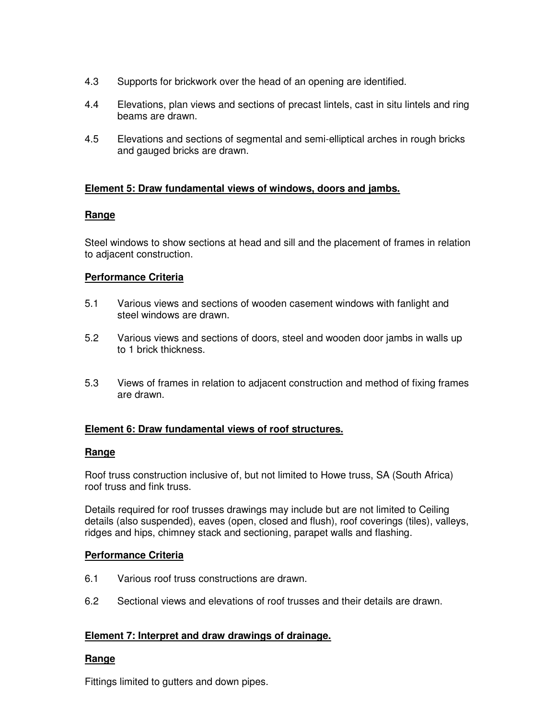- 4.3 Supports for brickwork over the head of an opening are identified.
- 4.4 Elevations, plan views and sections of precast lintels, cast in situ lintels and ring beams are drawn.
- 4.5 Elevations and sections of segmental and semi-elliptical arches in rough bricks and gauged bricks are drawn.

# **Element 5: Draw fundamental views of windows, doors and jambs.**

# **Range**

Steel windows to show sections at head and sill and the placement of frames in relation to adjacent construction.

# **Performance Criteria**

- 5.1 Various views and sections of wooden casement windows with fanlight and steel windows are drawn.
- 5.2 Various views and sections of doors, steel and wooden door jambs in walls up to 1 brick thickness.
- 5.3 Views of frames in relation to adjacent construction and method of fixing frames are drawn.

# **Element 6: Draw fundamental views of roof structures.**

### **Range**

Roof truss construction inclusive of, but not limited to Howe truss, SA (South Africa) roof truss and fink truss.

Details required for roof trusses drawings may include but are not limited to Ceiling details (also suspended), eaves (open, closed and flush), roof coverings (tiles), valleys, ridges and hips, chimney stack and sectioning, parapet walls and flashing.

### **Performance Criteria**

- 6.1 Various roof truss constructions are drawn.
- 6.2 Sectional views and elevations of roof trusses and their details are drawn.

### **Element 7: Interpret and draw drawings of drainage.**

# **Range**

Fittings limited to gutters and down pipes.